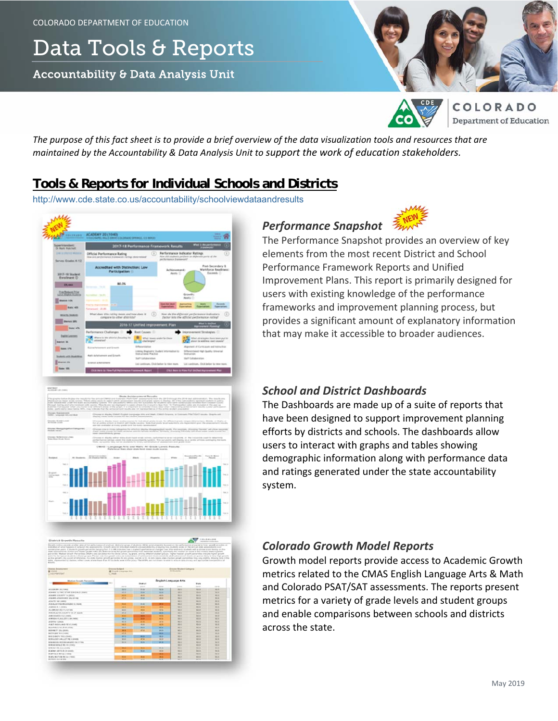# Data Tools & Reports

Accountability & Data Analysis Unit





**OLORADO Department of Education** 

*The purpose of this fact sheet is to provide a brief overview of the data visualization tools and resources that are maintained by the Accountability & Data Analysis Unit to support the work of education stakeholders.*

## **Tools & Reports for Individual Schools and Districts**

http://www.cde.state.co.us/accountability/schoolviewdataandresults



# *Performance Snapshot*



The Performance Snapshot provides an overview of key elements from the most recent District and School Performance Framework Reports and Unified Improvement Plans. This report is primarily designed for users with existing knowledge of the performance frameworks and improvement planning process, but provides a significant amount of explanatory information that may make it accessible to broader audiences.

## *School and District Dashboards*

The Dashboards are made up of a suite of reports that have been designed to support improvement planning efforts by districts and schools. The dashboards allow users to interact with graphs and tables showing demographic information along with performance data and ratings generated under the state accountability system.



## *Colorado Growth Model Reports*

Growth model reports provide access to Academic Growth metrics related to the CMAS English Language Arts & Math and Colorado PSAT/SAT assessments. The reports present metrics for a variety of grade levels and student groups and enable comparisons between schools and districts across the state.